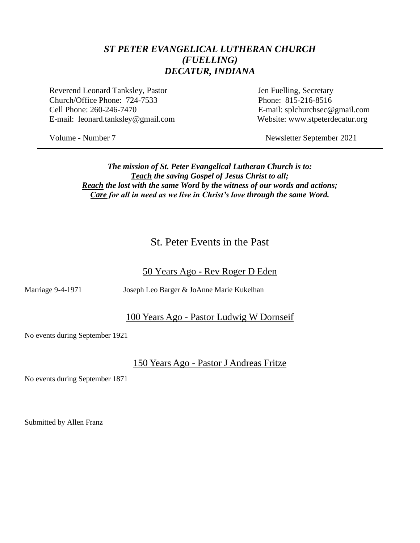#### *ST PETER EVANGELICAL LUTHERAN CHURCH (FUELLING) DECATUR, INDIANA*

Reverend Leonard Tanksley, Pastor Jen Fuelling, Secretary Church/Office Phone: 724-7533 Phone: 815-216-8516 Cell Phone: 260-246-7470 E-mail: splchurchsec@gmail.com E-mail: leonard.tanksley@gmail.com Website: www.stpeterdecatur.org

Volume - Number 7 Newsletter September 2021

*The mission of St. Peter Evangelical Lutheran Church is to: Teach the saving Gospel of Jesus Christ to all; Reach the lost with the same Word by the witness of our words and actions; Care for all in need as we live in Christ's love through the same Word.*

## St. Peter Events in the Past

#### 50 Years Ago - Rev Roger D Eden

Marriage 9-4-1971 Joseph Leo Barger & JoAnne Marie Kukelhan

#### 100 Years Ago - Pastor Ludwig W Dornseif

No events during September 1921

#### 150 Years Ago - Pastor J Andreas Fritze

No events during September 1871

Submitted by Allen Franz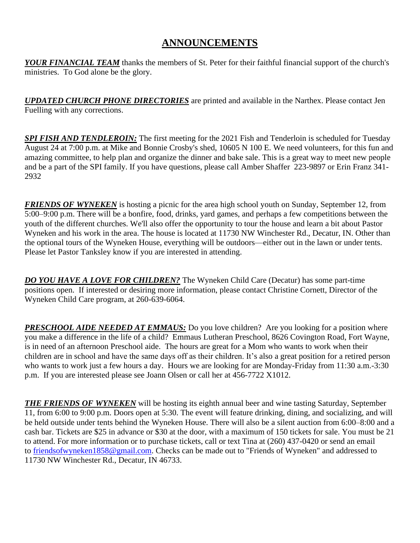## **ANNOUNCEMENTS**

*YOUR FINANCIAL TEAM* thanks the members of St. Peter for their faithful financial support of the church's ministries. To God alone be the glory.

*UPDATED CHURCH PHONE DIRECTORIES* are printed and available in the Narthex. Please contact Jen Fuelling with any corrections.

*SPI FISH AND TENDLEROIN:* The first meeting for the 2021 Fish and Tenderloin is scheduled for Tuesday August 24 at 7:00 p.m. at Mike and Bonnie Crosby's shed, 10605 N 100 E. We need volunteers, for this fun and amazing committee, to help plan and organize the dinner and bake sale. This is a great way to meet new people and be a part of the SPI family. If you have questions, please call Amber Shaffer 223-9897 or Erin Franz 341- 2932

*FRIENDS OF WYNEKEN* is hosting a picnic for the area high school youth on Sunday, September 12, from 5:00–9:00 p.m. There will be a bonfire, food, drinks, yard games, and perhaps a few competitions between the youth of the different churches. We'll also offer the opportunity to tour the house and learn a bit about Pastor Wyneken and his work in the area. The house is located at 11730 NW Winchester Rd., Decatur, IN. Other than the optional tours of the Wyneken House, everything will be outdoors—either out in the lawn or under tents. Please let Pastor Tanksley know if you are interested in attending.

*DO YOU HAVE A LOVE FOR CHILDREN?* The Wyneken Child Care (Decatur) has some part-time positions open. If interested or desiring more information, please contact Christine Cornett, Director of the Wyneken Child Care program, at 260-639-6064.

**PRESCHOOL AIDE NEEDED AT EMMAUS:** Do you love children? Are you looking for a position where you make a difference in the life of a child? Emmaus Lutheran Preschool, 8626 Covington Road, Fort Wayne, is in need of an afternoon Preschool aide. The hours are great for a Mom who wants to work when their children are in school and have the same days off as their children. It's also a great position for a retired person who wants to work just a few hours a day. Hours we are looking for are Monday-Friday from 11:30 a.m.-3:30 p.m. If you are interested please see Joann Olsen or call her at 456-7722 X1012.

*THE FRIENDS OF WYNEKEN* will be hosting its eighth annual beer and wine tasting Saturday, September 11, from 6:00 to 9:00 p.m. Doors open at 5:30. The event will feature drinking, dining, and socializing, and will be held outside under tents behind the Wyneken House. There will also be a silent auction from 6:00–8:00 and a cash bar. Tickets are \$25 in advance or \$30 at the door, with a maximum of 150 tickets for sale. You must be 21 to attend. For more information or to purchase tickets, call or text Tina at (260) 437-0420 or send an email to [friendsofwyneken1858@gmail.com.](mailto:friendsofwyneken1858@gmail.com) Checks can be made out to "Friends of Wyneken" and addressed to 11730 NW Winchester Rd., Decatur, IN 46733.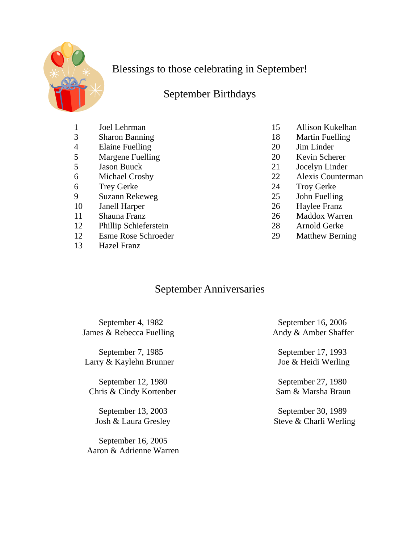

Blessings to those celebrating in September!

## September Birthdays

- 
- 
- 4 Elaine Fuelling 20 Jim Linder
- 5 Margene Fuelling 20 Kevin Scherer
- 
- 
- 6 Trey Gerke 24 Troy Gerke
- 9 Suzann Rekeweg 25 John Fuelling
- 10 Janell Harper 26 Haylee Franz
- 
- 12 Phillip Schieferstein 28 Arnold Gerke
- 12 Esme Rose Schroeder 29 Matthew Berning
- 13 Hazel Franz
- 1 Joel Lehrman 15 Allison Kukelhan
- 3 Sharon Banning 18 Martin Fuelling
	-
	-
- 5 Jason Buuck 21 Jocelyn Linder
- 6 Michael Crosby 22 Alexis Counterman
	-
	-
	-
- 11 Shauna Franz 26 Maddox Warren
	-
	-

## September Anniversaries

September 4, 1982 September 16, 2006 James & Rebecca Fuelling Andy & Amber Shaffer

September 7, 1985 September 17, 1993 Larry & Kaylehn Brunner Joe & Heidi Werling

September 12, 1980 September 27, 1980 Chris & Cindy Kortenber Sam & Marsha Braun

September 16, 2005 Aaron & Adrienne Warren

September 13, 2003 September 30, 1989 Josh & Laura Gresley Steve & Charli Werling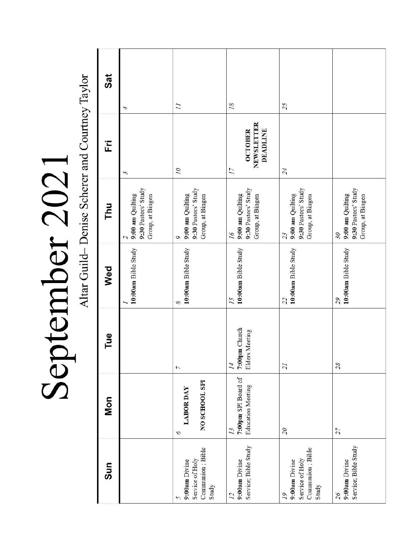|                    | $\zeta$       |
|--------------------|---------------|
|                    |               |
|                    |               |
|                    |               |
| $\frac{c}{c}$      |               |
|                    | $\frac{1}{2}$ |
|                    |               |
|                    |               |
| $\frac{1}{1}$<br>ļ |               |
| $\sim$ the control |               |
|                    |               |
|                    |               |
|                    |               |

Altar Guild-Denise Scherer and Courtney Taylor

| Sat |                                                             |                                                                    |                                                                   |                                                                     |                                                                   |
|-----|-------------------------------------------------------------|--------------------------------------------------------------------|-------------------------------------------------------------------|---------------------------------------------------------------------|-------------------------------------------------------------------|
| Ë   | 4<br>$\sim$                                                 | $\overline{11}$<br>07                                              | 18<br>NEWSLETTER<br><b>OCTOBER</b><br><b>DEADLINE</b><br>17       | 25<br>24                                                            |                                                                   |
| Thu | 9:30 Pastors' Study<br>9:00 am Quilting<br>Group, at Bingen | 9:30 Pastors' Study<br>9:00 am Quilting<br>Group, at Bingen<br>Q   | 9:30 Pastors' Study<br>9:00 am Quilting<br>Group, at Bingen<br>16 | 9:30 Pastors' Study<br>9:00 am Quilting<br>Group, at Bingen<br>23   | 9:30 Pastors' Study<br>9:00 am Quilting<br>Group, at Bingen<br>30 |
| Wed | 10:00am Bible Study                                         | 10:00am Bible Study<br>8                                           | 10:00am Bible Study<br>15                                         | 10:00am Bible Study<br>22                                           | 10:00am Bible Study<br>55                                         |
| Tue |                                                             | 7                                                                  | 7:00pm Church<br>Elders Meeting<br>$\overline{l}4$                | $\overline{21}$                                                     | 28                                                                |
| Mon |                                                             | NO SCHOOL SPI<br><b>LABOR DAY</b><br>9                             | 7:00pm SPI Board of<br><b>Education Meeting</b><br>13             | $\overline{\mathcal{C}}$                                            | 27                                                                |
| Sun |                                                             | Communion; Bible<br>Service of Holy<br>9:00am Divine<br>Study<br>5 | Service; Bible Study<br>9:00am Divine<br>12                       | Communion; Bible<br>Service of Holy<br>9:00am Divine<br>Study<br>19 | Service; Bible Study<br>9:00am Divine<br>26                       |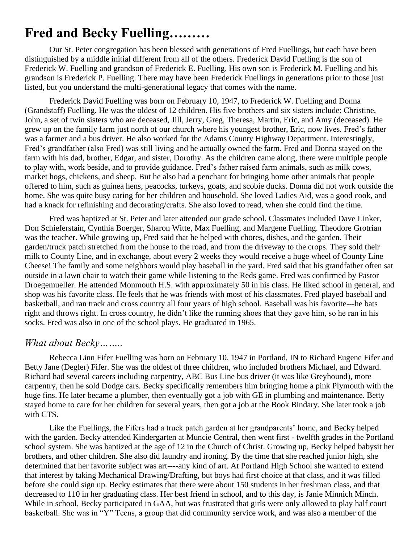# **Fred and Becky Fuelling………**

Our St. Peter congregation has been blessed with generations of Fred Fuellings, but each have been distinguished by a middle initial different from all of the others. Frederick David Fuelling is the son of Frederick W. Fuelling and grandson of Frederick E. Fuelling. His own son is Frederick M. Fuelling and his grandson is Frederick P. Fuelling. There may have been Frederick Fuellings in generations prior to those just listed, but you understand the multi-generational legacy that comes with the name.

Frederick David Fuelling was born on February 10, 1947, to Frederick W. Fuelling and Donna (Grandstaff) Fuelling. He was the oldest of 12 children. His five brothers and six sisters include: Christine, John, a set of twin sisters who are deceased, Jill, Jerry, Greg, Theresa, Martin, Eric, and Amy (deceased). He grew up on the family farm just north of our church where his youngest brother, Eric, now lives. Fred's father was a farmer and a bus driver. He also worked for the Adams County Highway Department. Interestingly, Fred's grandfather (also Fred) was still living and he actually owned the farm. Fred and Donna stayed on the farm with his dad, brother, Edgar, and sister, Dorothy. As the children came along, there were multiple people to play with, work beside, and to provide guidance. Fred's father raised farm animals, such as milk cows, market hogs, chickens, and sheep. But he also had a penchant for bringing home other animals that people offered to him, such as guinea hens, peacocks, turkeys, goats, and scobie ducks. Donna did not work outside the home. She was quite busy caring for her children and household. She loved Ladies Aid, was a good cook, and had a knack for refinishing and decorating/crafts. She also loved to read, when she could find the time.

Fred was baptized at St. Peter and later attended our grade school. Classmates included Dave Linker, Don Schieferstain, Cynthia Boerger, Sharon Witte, Max Fuelling, and Margene Fuelling. Theodore Grotrian was the teacher. While growing up, Fred said that he helped with chores, dishes, and the garden. Their garden/truck patch stretched from the house to the road, and from the driveway to the crops. They sold their milk to County Line, and in exchange, about every 2 weeks they would receive a huge wheel of County Line Cheese! The family and some neighbors would play baseball in the yard. Fred said that his grandfather often sat outside in a lawn chair to watch their game while listening to the Reds game. Fred was confirmed by Pastor Droegemueller. He attended Monmouth H.S. with approximately 50 in his class. He liked school in general, and shop was his favorite class. He feels that he was friends with most of his classmates. Fred played baseball and basketball, and ran track and cross country all four years of high school. Baseball was his favorite---he bats right and throws right. In cross country, he didn't like the running shoes that they gave him, so he ran in his socks. Fred was also in one of the school plays. He graduated in 1965.

## *What about Becky……..*

Rebecca Linn Fifer Fuelling was born on February 10, 1947 in Portland, IN to Richard Eugene Fifer and Betty Jane (Degler) Fifer. She was the oldest of three children, who included brothers Michael, and Edward. Richard had several careers including carpentry, ABC Bus Line bus driver (it was like Greyhound), more carpentry, then he sold Dodge cars. Becky specifically remembers him bringing home a pink Plymouth with the huge fins. He later became a plumber, then eventually got a job with GE in plumbing and maintenance. Betty stayed home to care for her children for several years, then got a job at the Book Bindary. She later took a job with CTS.

Like the Fuellings, the Fifers had a truck patch garden at her grandparents' home, and Becky helped with the garden. Becky attended Kindergarten at Muncie Central, then went first - twelfth grades in the Portland school system. She was baptized at the age of 12 in the Church of Christ. Growing up, Becky helped babysit her brothers, and other children. She also did laundry and ironing. By the time that she reached junior high, she determined that her favorite subject was art----any kind of art. At Portland High School she wanted to extend that interest by taking Mechanical Drawing/Drafting, but boys had first choice at that class, and it was filled before she could sign up. Becky estimates that there were about 150 students in her freshman class, and that decreased to 110 in her graduating class. Her best friend in school, and to this day, is Janie Minnich Minch. While in school, Becky participated in GAA, but was frustrated that girls were only allowed to play half court basketball. She was in "Y" Teens, a group that did community service work, and was also a member of the